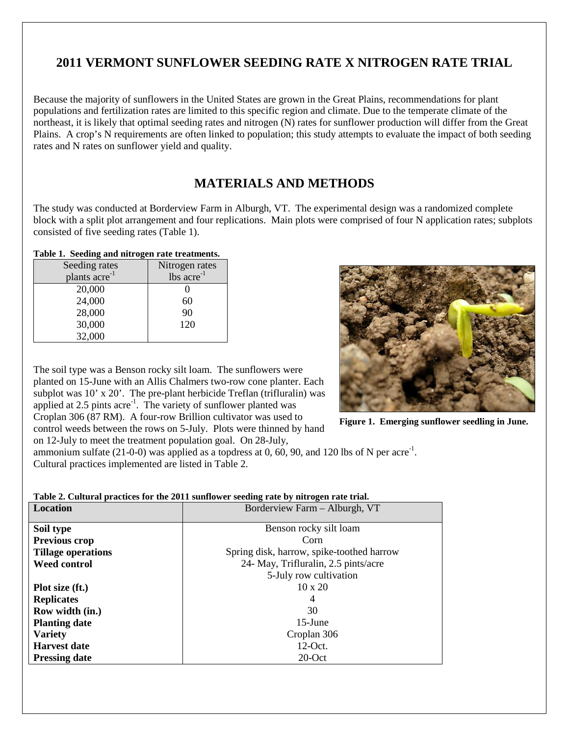# **2011 VERMONT SUNFLOWER SEEDING RATE X NITROGEN RATE TRIAL**

Because the majority of sunflowers in the United States are grown in the Great Plains, recommendations for plant populations and fertilization rates are limited to this specific region and climate. Due to the temperate climate of the northeast, it is likely that optimal seeding rates and nitrogen (N) rates for sunflower production will differ from the Great Plains. A crop's N requirements are often linked to population; this study attempts to evaluate the impact of both seeding rates and N rates on sunflower yield and quality.

# **MATERIALS AND METHODS**

The study was conducted at Borderview Farm in Alburgh, VT. The experimental design was a randomized complete block with a split plot arrangement and four replications. Main plots were comprised of four N application rates; subplots consisted of five seeding rates (Table 1).

### **Table 1. Seeding and nitrogen rate treatments.**

| o<br>Seeding rates        | Nitrogen rates           |
|---------------------------|--------------------------|
| plants acre <sup>-1</sup> | $lbs$ acre <sup>-1</sup> |
| 20,000                    |                          |
| 24,000                    | 60                       |
| 28,000                    | 90                       |
| 30,000                    | 120                      |
| 32,000                    |                          |

The soil type was a Benson rocky silt loam. The sunflowers were planted on 15-June with an Allis Chalmers two-row cone planter. Each subplot was 10' x 20'. The pre-plant herbicide Treflan (trifluralin) was applied at 2.5 pints acre<sup>-1</sup>. The variety of sunflower planted was Croplan 306 (87 RM). A four-row Brillion cultivator was used to control weeds between the rows on 5-July. Plots were thinned by hand on 12-July to meet the treatment population goal. On 28-July,



**Figure 1. Emerging sunflower seedling in June.**

ammonium sulfate  $(21-0-0)$  was applied as a topdress at 0, 60, 90, and 120 lbs of N per acre<sup>-1</sup>. Cultural practices implemented are listed in Table 2.

### **Table 2. Cultural practices for the 2011 sunflower seeding rate by nitrogen rate trial.**

| <b>Location</b>           | Borderview Farm - Alburgh, VT             |
|---------------------------|-------------------------------------------|
|                           |                                           |
| Soil type                 | Benson rocky silt loam                    |
| Previous crop             | Corn                                      |
| <b>Tillage operations</b> | Spring disk, harrow, spike-toothed harrow |
| <b>Weed control</b>       | 24- May, Trifluralin, 2.5 pints/acre      |
|                           | 5-July row cultivation                    |
| Plot size (ft.)           | $10 \times 20$                            |
| <b>Replicates</b>         |                                           |
| Row width (in.)           | 30                                        |
| <b>Planting date</b>      | $15$ -June                                |
| <b>Variety</b>            | Croplan 306                               |
| <b>Harvest date</b>       | $12$ -Oct.                                |
| <b>Pressing date</b>      | $20$ -Oct                                 |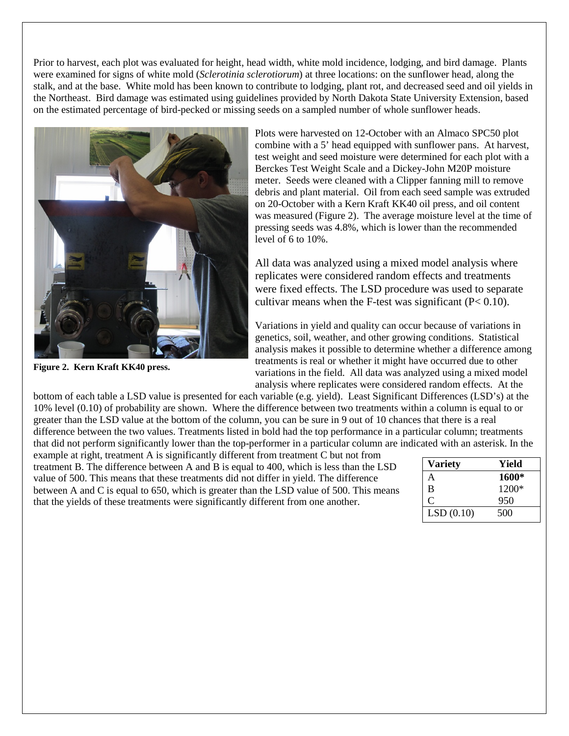Prior to harvest, each plot was evaluated for height, head width, white mold incidence, lodging, and bird damage. Plants were examined for signs of white mold (*Sclerotinia sclerotiorum*) at three locations: on the sunflower head, along the stalk, and at the base. White mold has been known to contribute to lodging, plant rot, and decreased seed and oil yields in the Northeast. Bird damage was estimated using guidelines provided by North Dakota State University Extension, based on the estimated percentage of bird-pecked or missing seeds on a sampled number of whole sunflower heads.



**Figure 2. Kern Kraft KK40 press.**

Plots were harvested on 12-October with an Almaco SPC50 plot combine with a 5' head equipped with sunflower pans. At harvest, test weight and seed moisture were determined for each plot with a Berckes Test Weight Scale and a Dickey-John M20P moisture meter. Seeds were cleaned with a Clipper fanning mill to remove debris and plant material. Oil from each seed sample was extruded on 20-October with a Kern Kraft KK40 oil press, and oil content was measured (Figure 2). The average moisture level at the time of pressing seeds was 4.8%, which is lower than the recommended level of 6 to 10%.

All data was analyzed using a mixed model analysis where replicates were considered random effects and treatments were fixed effects. The LSD procedure was used to separate cultivar means when the F-test was significant  $(P< 0.10)$ .

Variations in yield and quality can occur because of variations in genetics, soil, weather, and other growing conditions. Statistical analysis makes it possible to determine whether a difference among treatments is real or whether it might have occurred due to other variations in the field. All data was analyzed using a mixed model analysis where replicates were considered random effects. At the

bottom of each table a LSD value is presented for each variable (e.g. yield). Least Significant Differences (LSD's) at the 10% level (0.10) of probability are shown. Where the difference between two treatments within a column is equal to or greater than the LSD value at the bottom of the column, you can be sure in 9 out of 10 chances that there is a real difference between the two values. Treatments listed in bold had the top performance in a particular column; treatments that did not perform significantly lower than the top-performer in a particular column are indicated with an asterisk. In the

example at right, treatment A is significantly different from treatment C but not from treatment B. The difference between A and B is equal to 400, which is less than the LSD value of 500. This means that these treatments did not differ in yield. The difference between A and C is equal to 650, which is greater than the LSD value of 500. This means that the yields of these treatments were significantly different from one another.

| <b>Variety</b> | Yield |
|----------------|-------|
| A              | 1600* |
| B              | 1200* |
|                | 950   |
| LSD(0.10)      | 500   |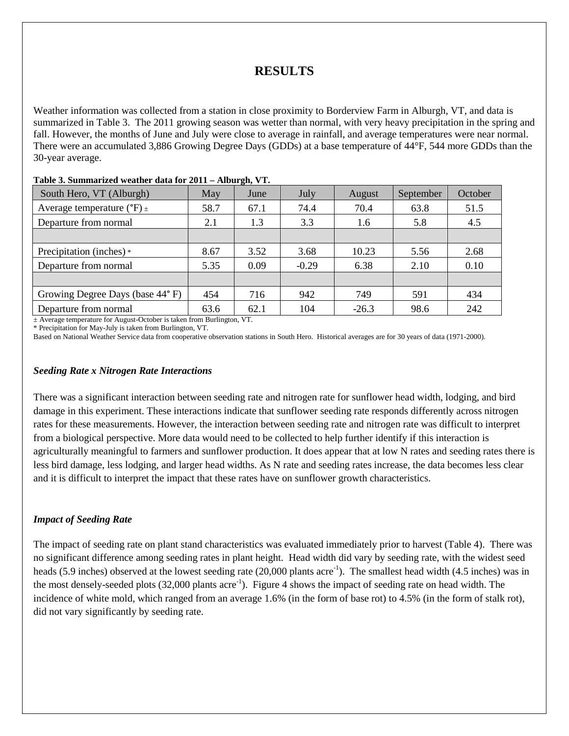# **RESULTS**

Weather information was collected from a station in close proximity to Borderview Farm in Alburgh, VT, and data is summarized in Table 3. The 2011 growing season was wetter than normal, with very heavy precipitation in the spring and fall. However, the months of June and July were close to average in rainfall, and average temperatures were near normal. There were an accumulated 3,886 Growing Degree Days (GDDs) at a base temperature of 44°F, 544 more GDDs than the 30-year average.

| May  | June | July                                                                       | August  | September | October |
|------|------|----------------------------------------------------------------------------|---------|-----------|---------|
| 58.7 | 67.1 | 74.4                                                                       | 70.4    | 63.8      | 51.5    |
| 2.1  | 1.3  | 3.3                                                                        | 1.6     | 5.8       | 4.5     |
|      |      |                                                                            |         |           |         |
| 8.67 | 3.52 | 3.68                                                                       | 10.23   | 5.56      | 2.68    |
| 5.35 | 0.09 | $-0.29$                                                                    | 6.38    | 2.10      | 0.10    |
|      |      |                                                                            |         |           |         |
| 454  | 716  | 942                                                                        | 749     | 591       | 434     |
| 63.6 | 62.1 | 104                                                                        | $-26.3$ | 98.6      | 242     |
|      |      | $\pm$ Average temperature for August-October is taken from Burlington, VT. |         |           |         |

#### **Table 3. Summarized weather data for 2011 – Alburgh, VT.**

\* Precipitation for May-July is taken from Burlington, VT.

Based on National Weather Service data from cooperative observation stations in South Hero. Historical averages are for 30 years of data (1971-2000).

#### *Seeding Rate x Nitrogen Rate Interactions*

There was a significant interaction between seeding rate and nitrogen rate for sunflower head width, lodging, and bird damage in this experiment. These interactions indicate that sunflower seeding rate responds differently across nitrogen rates for these measurements. However, the interaction between seeding rate and nitrogen rate was difficult to interpret from a biological perspective. More data would need to be collected to help further identify if this interaction is agriculturally meaningful to farmers and sunflower production. It does appear that at low N rates and seeding rates there is less bird damage, less lodging, and larger head widths. As N rate and seeding rates increase, the data becomes less clear and it is difficult to interpret the impact that these rates have on sunflower growth characteristics.

#### *Impact of Seeding Rate*

The impact of seeding rate on plant stand characteristics was evaluated immediately prior to harvest (Table 4). There was no significant difference among seeding rates in plant height. Head width did vary by seeding rate, with the widest seed heads (5.9 inches) observed at the lowest seeding rate (20,000 plants acre<sup>-1</sup>). The smallest head width (4.5 inches) was in the most densely-seeded plots (32,000 plants acre<sup>-1</sup>). Figure 4 shows the impact of seeding rate on head width. The incidence of white mold, which ranged from an average 1.6% (in the form of base rot) to 4.5% (in the form of stalk rot), did not vary significantly by seeding rate.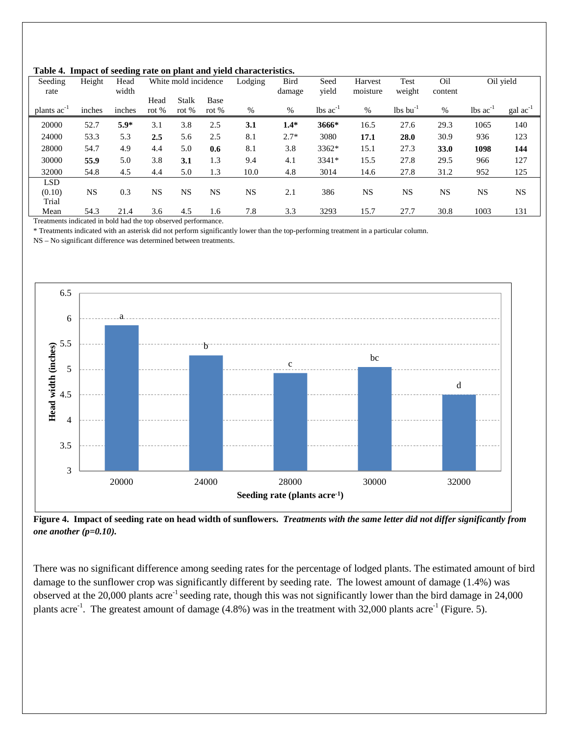|  |  |  | Table 4. Impact of seeding rate on plant and yield characteristics. |
|--|--|--|---------------------------------------------------------------------|
|--|--|--|---------------------------------------------------------------------|

| Seeding<br>rate  | Height | Head<br>width |                 | White mold incidence    |                 | Lodging | Bird<br>damage | Seed<br>vield                 | Harvest<br>moisture | Test<br>weight                     | Oil<br>content |                               | Oil yield            |
|------------------|--------|---------------|-----------------|-------------------------|-----------------|---------|----------------|-------------------------------|---------------------|------------------------------------|----------------|-------------------------------|----------------------|
| plants $ac^{-1}$ | inches | inches        | Head<br>rot $%$ | <b>Stalk</b><br>rot $%$ | Base<br>rot $%$ | %       | %              | $\text{lbs}$ ac <sup>-1</sup> | $\%$                | $\frac{1}{2}$ lbs bu <sup>-1</sup> | %              | $\text{lbs}$ ac <sup>-1</sup> | $\text{gal ac}^{-1}$ |
| 20000            | 52.7   | $5.9*$        | 3.1             | 3.8                     | 2.5             | 3.1     | $1.4*$         | 3666*                         | 16.5                | 27.6                               | 29.3           | 1065                          | 140                  |
| 24000            | 53.3   | 5.3           | 2.5             | 5.6                     | 2.5             | 8.1     | $2.7*$         | 3080                          | 17.1                | 28.0                               | 30.9           | 936                           | 123                  |
| 28000            | 54.7   | 4.9           | 4.4             | 5.0                     | 0.6             | 8.1     | 3.8            | 3362*                         | 15.1                | 27.3                               | 33.0           | 1098                          | 144                  |
| 30000            | 55.9   | 5.0           | 3.8             | 3.1                     | 1.3             | 9.4     | 4.1            | 3341*                         | 15.5                | 27.8                               | 29.5           | 966                           | 127                  |
| 32000            | 54.8   | 4.5           | 4.4             | 5.0                     | 1.3             | 10.0    | 4.8            | 3014                          | 14.6                | 27.8                               | 31.2           | 952                           | 125                  |
| <b>LSD</b>       |        |               |                 |                         |                 |         |                |                               |                     |                                    |                |                               |                      |
| (0.10)           | NS     | 0.3           | <b>NS</b>       | NS                      | <b>NS</b>       | NS.     | 2.1            | 386                           | NS                  | <b>NS</b>                          | <b>NS</b>      | NS                            | <b>NS</b>            |
| Trial            |        |               |                 |                         |                 |         |                |                               |                     |                                    |                |                               |                      |
| Mean             | 54.3   | 21.4          | 3.6             | 4.5                     | 1.6             | 7.8     | 3.3            | 3293                          | 15.7                | 27.7                               | 30.8           | 1003                          | 131                  |

Treatments indicated in bold had the top observed performance.

\* Treatments indicated with an asterisk did not perform significantly lower than the top-performing treatment in a particular column.

NS – No significant difference was determined between treatments.



**Figure 4. Impact of seeding rate on head width of sunflowers.** *Treatments with the same letter did not differ significantly from one another (p=0.10).*

There was no significant difference among seeding rates for the percentage of lodged plants. The estimated amount of bird damage to the sunflower crop was significantly different by seeding rate. The lowest amount of damage (1.4%) was observed at the 20,000 plants acre-1 seeding rate, though this was not significantly lower than the bird damage in 24,000 plants acre<sup>-1</sup>. The greatest amount of damage (4.8%) was in the treatment with 32,000 plants acre<sup>-1</sup> (Figure. 5).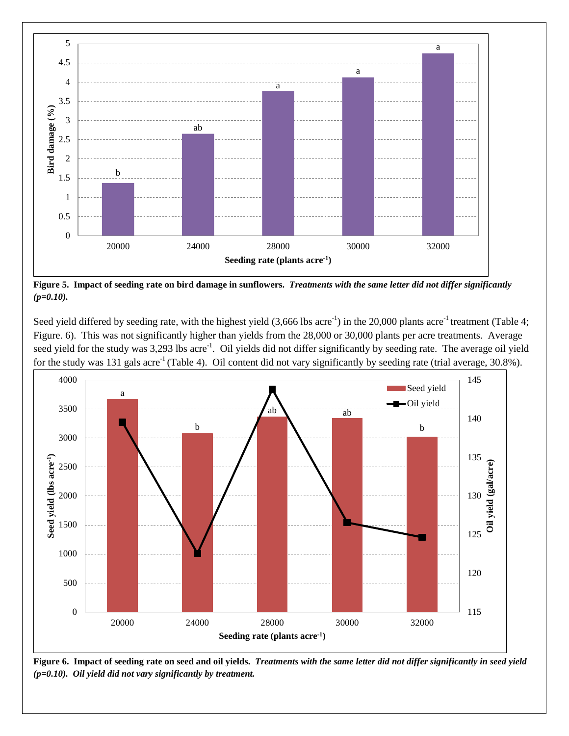

**Figure 5. Impact of seeding rate on bird damage in sunflowers.** *Treatments with the same letter did not differ significantly (p=0.10).*

Seed yield differed by seeding rate, with the highest yield  $(3,666 \text{ lbs acre}^{-1})$  in the 20,000 plants acre<sup>-1</sup> treatment (Table 4; Figure. 6). This was not significantly higher than yields from the 28,000 or 30,000 plants per acre treatments. Average seed yield for the study was 3,293 lbs acre<sup>-1</sup>. Oil yields did not differ significantly by seeding rate. The average oil yield for the study was 131 gals acre<sup>-1</sup> (Table 4). Oil content did not vary significantly by seeding rate (trial average,  $30.8\%$ ).



**Figure 6. Impact of seeding rate on seed and oil yields.** *Treatments with the same letter did not differ significantly in seed yield (p=0.10). Oil yield did not vary significantly by treatment.*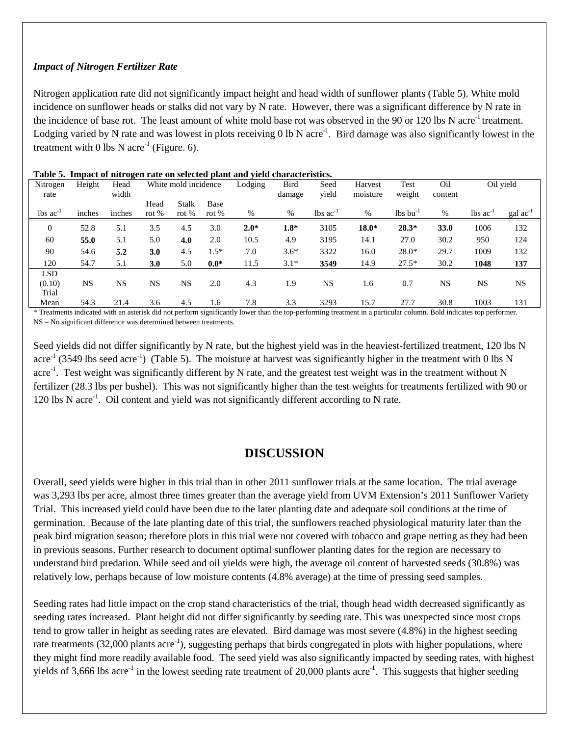### *Impact of Nitrogen Fertilizer Rate*

Nitrogen application rate did not significantly impact height and head width of sunflower plants (Table 5). White mold incidence on sunflower heads or stalks did not vary by N rate. However, there was a significant difference by N rate in the incidence of base rot. The least amount of white mold base rot was observed in the 90 or 120 lbs N acre<sup>-1</sup> treatment. Lodging varied by N rate and was lowest in plots receiving  $0 \text{ lb N}$  acre<sup>-1</sup>. Bird damage was also significantly lowest in the treatment with 0 lbs N acre<sup>-1</sup> (Figure. 6).

| Nitrogen<br>rate              | Height    | ີ<br>Head<br>width |                 | White mold incidence    |               | Lodging | Bird<br>damage | Seed<br>vield                 | Harvest<br>moisture | Test<br>weight                     | Oil<br>content |                               | Oil yield            |
|-------------------------------|-----------|--------------------|-----------------|-------------------------|---------------|---------|----------------|-------------------------------|---------------------|------------------------------------|----------------|-------------------------------|----------------------|
| $\text{lbs}$ ac <sup>-1</sup> | inches    | inches             | Head<br>rot $%$ | <b>Stalk</b><br>rot $%$ | Base<br>rot % | %       | %              | $\text{lbs}$ ac <sup>-1</sup> | $\%$                | $\frac{1}{2}$ lbs bu <sup>-1</sup> | $\%$           | $\text{lbs}$ ac <sup>-1</sup> | $\text{gal ac}^{-1}$ |
| $\mathbf{0}$                  | 52.8      | 5.1                | 3.5             | 4.5                     | 3.0           | $2.0*$  | $1.8*$         | 3105                          | $18.0*$             | $28.3*$                            | 33.0           | 1006                          | 132                  |
| 60                            | 55.0      | 5.1                | 5.0             | 4.0                     | 2.0           | 10.5    | 4.9            | 3195                          | 14.1                | 27.0                               | 30.2           | 950                           | 124                  |
| 90                            | 54.6      | 5.2                | 3.0             | 4.5                     | $1.5*$        | 7.0     | $3.6*$         | 3322                          | 16.0                | $28.0*$                            | 29.7           | 1009                          | 132                  |
| 120                           | 54.7      | 5.1                | 3.0             | 5.0                     | $0.0*$        | 11.5    | $3.1*$         | 3549                          | 14.9                | $27.5*$                            | 30.2           | 1048                          | 137                  |
| <b>LSD</b>                    |           |                    |                 |                         |               |         |                |                               |                     |                                    |                |                               |                      |
| (0.10)                        | <b>NS</b> | <b>NS</b>          | NS              | <b>NS</b>               | 2.0           | 4.3     | 1.9            | <b>NS</b>                     | 1.6                 | 0.7                                | <b>NS</b>      | <b>NS</b>                     | <b>NS</b>            |
| Trial                         |           |                    |                 |                         |               |         |                |                               |                     |                                    |                |                               |                      |
| Mean                          | 54.3      | 21.4               | 3.6             | 4.5                     | 1.6           | 7.8     | 3.3            | 3293                          | 15.7                | 27.7                               | 30.8           | 1003                          | 131                  |

| Table 5. Impact of nitrogen rate on selected plant and yield characteristics. |  |  |  |  |  |
|-------------------------------------------------------------------------------|--|--|--|--|--|
|-------------------------------------------------------------------------------|--|--|--|--|--|

\* Treatments indicated with an asterisk did not perform significantly lower than the top-performing treatment in a particular column. Bold indicates top performer. NS – No significant difference was determined between treatments.

Seed yields did not differ significantly by N rate, but the highest yield was in the heaviest-fertilized treatment, 120 lbs N acre<sup>-1</sup> (3549 lbs seed acre<sup>-1</sup>) (Table 5). The moisture at harvest was significantly higher in the treatment with 0 lbs N acre<sup>-1</sup>. Test weight was significantly different by N rate, and the greatest test weight was in the treatment without N fertilizer (28.3 lbs per bushel). This was not significantly higher than the test weights for treatments fertilized with 90 or 120 lbs N acre<sup>-1</sup>. Oil content and yield was not significantly different according to N rate.

### **DISCUSSION**

Overall, seed yields were higher in this trial than in other 2011 sunflower trials at the same location. The trial average was 3,293 lbs per acre, almost three times greater than the average yield from UVM Extension's 2011 Sunflower Variety Trial. This increased yield could have been due to the later planting date and adequate soil conditions at the time of germination. Because of the late planting date of this trial, the sunflowers reached physiological maturity later than the peak bird migration season; therefore plots in this trial were not covered with tobacco and grape netting as they had been in previous seasons. Further research to document optimal sunflower planting dates for the region are necessary to understand bird predation. While seed and oil yields were high, the average oil content of harvested seeds (30.8%) was relatively low, perhaps because of low moisture contents (4.8% average) at the time of pressing seed samples.

Seeding rates had little impact on the crop stand characteristics of the trial, though head width decreased significantly as seeding rates increased. Plant height did not differ significantly by seeding rate. This was unexpected since most crops tend to grow taller in height as seeding rates are elevated. Bird damage was most severe (4.8%) in the highest seeding rate treatments (32,000 plants acre<sup>-1</sup>), suggesting perhaps that birds congregated in plots with higher populations, where they might find more readily available food. The seed yield was also significantly impacted by seeding rates, with highest yields of 3,666 lbs acre<sup>-1</sup> in the lowest seeding rate treatment of 20,000 plants acre<sup>-1</sup>. This suggests that higher seeding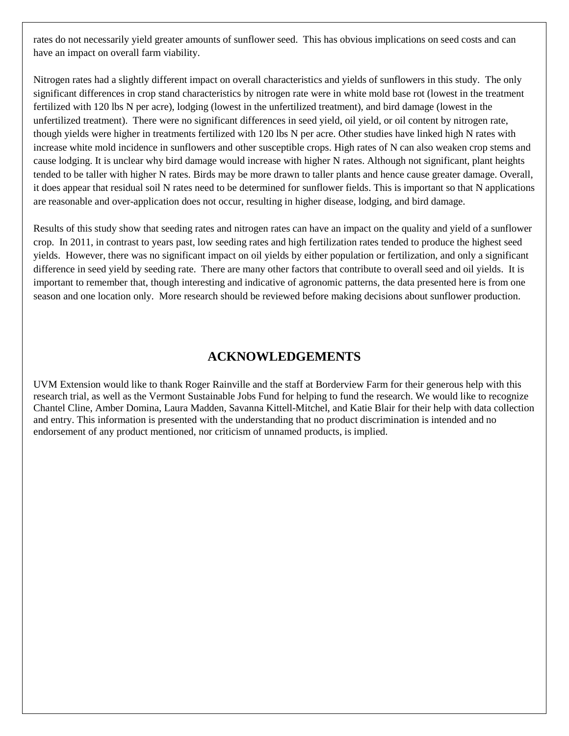rates do not necessarily yield greater amounts of sunflower seed. This has obvious implications on seed costs and can have an impact on overall farm viability.

Nitrogen rates had a slightly different impact on overall characteristics and yields of sunflowers in this study. The only significant differences in crop stand characteristics by nitrogen rate were in white mold base rot (lowest in the treatment fertilized with 120 lbs N per acre), lodging (lowest in the unfertilized treatment), and bird damage (lowest in the unfertilized treatment). There were no significant differences in seed yield, oil yield, or oil content by nitrogen rate, though yields were higher in treatments fertilized with 120 lbs N per acre. Other studies have linked high N rates with increase white mold incidence in sunflowers and other susceptible crops. High rates of N can also weaken crop stems and cause lodging. It is unclear why bird damage would increase with higher N rates. Although not significant, plant heights tended to be taller with higher N rates. Birds may be more drawn to taller plants and hence cause greater damage. Overall, it does appear that residual soil N rates need to be determined for sunflower fields. This is important so that N applications are reasonable and over-application does not occur, resulting in higher disease, lodging, and bird damage.

Results of this study show that seeding rates and nitrogen rates can have an impact on the quality and yield of a sunflower crop. In 2011, in contrast to years past, low seeding rates and high fertilization rates tended to produce the highest seed yields. However, there was no significant impact on oil yields by either population or fertilization, and only a significant difference in seed yield by seeding rate. There are many other factors that contribute to overall seed and oil yields. It is important to remember that, though interesting and indicative of agronomic patterns, the data presented here is from one season and one location only. More research should be reviewed before making decisions about sunflower production.

## **ACKNOWLEDGEMENTS**

UVM Extension would like to thank Roger Rainville and the staff at Borderview Farm for their generous help with this research trial, as well as the Vermont Sustainable Jobs Fund for helping to fund the research. We would like to recognize Chantel Cline, Amber Domina, Laura Madden, Savanna Kittell-Mitchel, and Katie Blair for their help with data collection and entry. This information is presented with the understanding that no product discrimination is intended and no endorsement of any product mentioned, nor criticism of unnamed products, is implied.